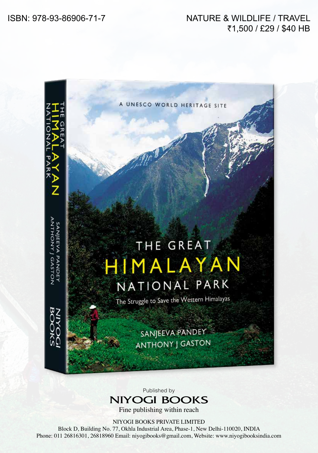## NATURE & WILDLIFE / TRAVEL ₹1,500 / £29 / \$40 HB



Published by **NIYOGI BOOKS** 

Fine publishing within reach

NIYOGI BOOKS PRIVATE LIMITED

Block D, Building No. 77, Okhla Industrial Area, Phase-1, New Delhi-110020, INDIA Phone: 011 26816301, 26818960 Email: niyogibooks@gmail.com, Website: www.niyogibooksindia.com